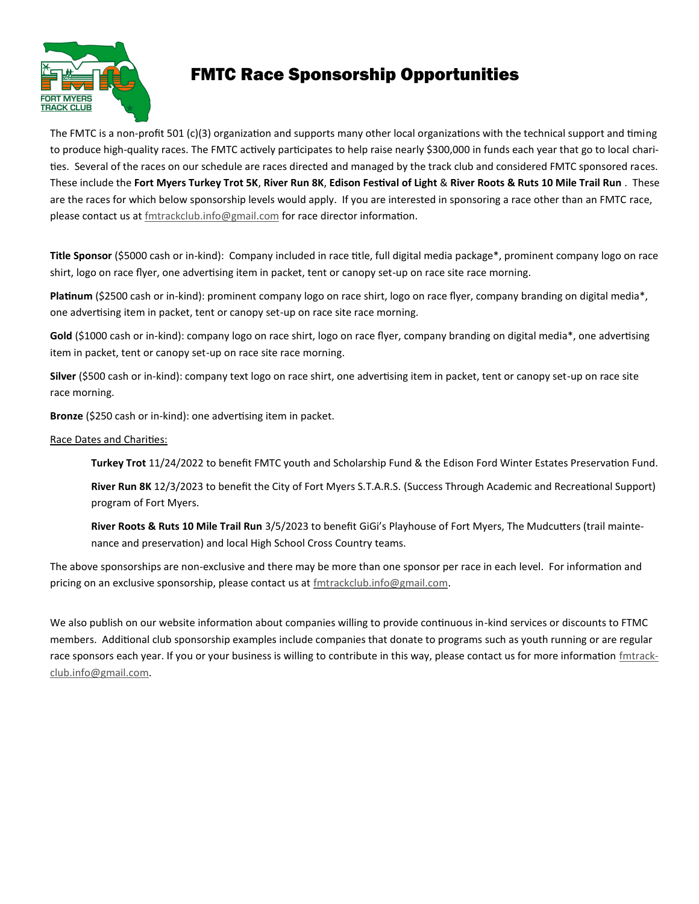

# FMTC Race Sponsorship Opportunities

The FMTC is a non-profit 501 (c)(3) organization and supports many other local organizations with the technical support and timing to produce high-quality races. The FMTC actively participates to help raise nearly \$300,000 in funds each year that go to local charities. Several of the races on our schedule are races directed and managed by the track club and considered FMTC sponsored races. These include the **Fort Myers Turkey Trot 5K**, **River Run 8K**, **Edison Festival of Light** & **River Roots & Ruts 10 Mile Trail Run** . These are the races for which below sponsorship levels would apply. If you are interested in sponsoring a race other than an FMTC race, please contact us at [fmtrackclub.info@gmail.com](mailto:fmtrackclub.info@gmail.com) for race director information.

**Title Sponsor** (\$5000 cash or in-kind): Company included in race title, full digital media package\*, prominent company logo on race shirt, logo on race flyer, one advertising item in packet, tent or canopy set-up on race site race morning.

**Platinum** (\$2500 cash or in-kind): prominent company logo on race shirt, logo on race flyer, company branding on digital media\*, one advertising item in packet, tent or canopy set-up on race site race morning.

Gold (\$1000 cash or in-kind): company logo on race shirt, logo on race flyer, company branding on digital media\*, one advertising item in packet, tent or canopy set-up on race site race morning.

**Silver** (\$500 cash or in-kind): company text logo on race shirt, one advertising item in packet, tent or canopy set-up on race site race morning.

**Bronze** (\$250 cash or in-kind): one advertising item in packet.

#### Race Dates and Charities:

**Turkey Trot** 11/24/2022 to benefit FMTC youth and Scholarship Fund & the Edison Ford Winter Estates Preservation Fund.

**River Run 8K** 12/3/2023 to benefit the City of Fort Myers S.T.A.R.S. (Success Through Academic and Recreational Support) program of Fort Myers.

**River Roots & Ruts 10 Mile Trail Run** 3/5/2023 to benefit GiGi's Playhouse of Fort Myers, The Mudcutters (trail maintenance and preservation) and local High School Cross Country teams.

The above sponsorships are non-exclusive and there may be more than one sponsor per race in each level. For information and pricing on an exclusive sponsorship, please contact us at [fmtrackclub.info@gmail.com.](mailto:fmtrackclub.info@gmail.com)

We also publish on our website information about companies willing to provide continuous in-kind services or discounts to FTMC members. Additional club sponsorship examples include companies that donate to programs such as youth running or are regular race sponsors each year. If you or your business is willing to contribute in this way, please contact us for more information [fmtrack](mailto:fmtrackclub.info@gmail.com)[club.info@gmail.com.](mailto:fmtrackclub.info@gmail.com)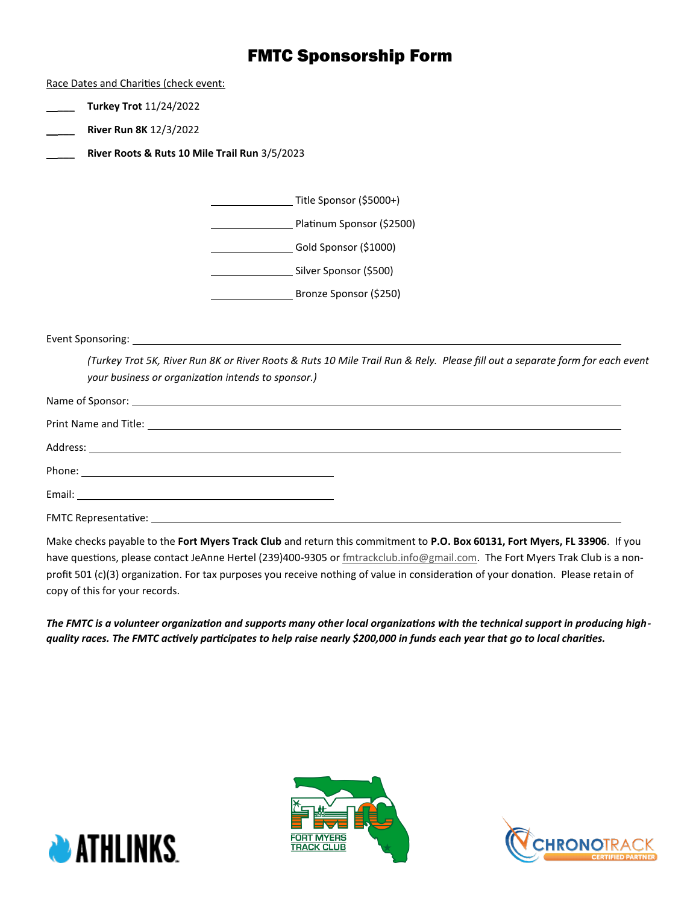## FMTC Sponsorship Form

Race Dates and Charities (check event:

- \_\_**\_\_\_ Turkey Trot** 11/24/2022
- \_\_**\_\_\_ River Run 8K** 12/3/2022
- \_\_**\_\_\_ River Roots & Ruts 10 Mile Trail Run** 3/5/2023

| Title Sponsor (\$5000+)   |
|---------------------------|
| Platinum Sponsor (\$2500) |
| Gold Sponsor (\$1000)     |
| Silver Sponsor (\$500)    |
| Bronze Sponsor (\$250)    |

Event Sponsoring:

*(Turkey Trot 5K, River Run 8K or River Roots & Ruts 10 Mile Trail Run & Rely. Please fill out a separate form for each event your business or organization intends to sponsor.)*

| <b>FMTC Representative:</b> |  |
|-----------------------------|--|

Make checks payable to the **Fort Myers Track Club** and return this commitment to **P.O. Box 60131, Fort Myers, FL 33906**. If you have questions, please contact JeAnne Hertel (239)400-9305 or [fmtrackclub.info@gmail.com.](mailto:fmtrackclub.info@gmail.com)The Fort Myers Trak Club is a nonprofit 501 (c)(3) organization. For tax purposes you receive nothing of value in consideration of your donation. Please retain of copy of this for your records.

*The FMTC is a volunteer organization and supports many other local organizations with the technical support in producing highquality races. The FMTC actively participates to help raise nearly \$200,000 in funds each year that go to local charities.*





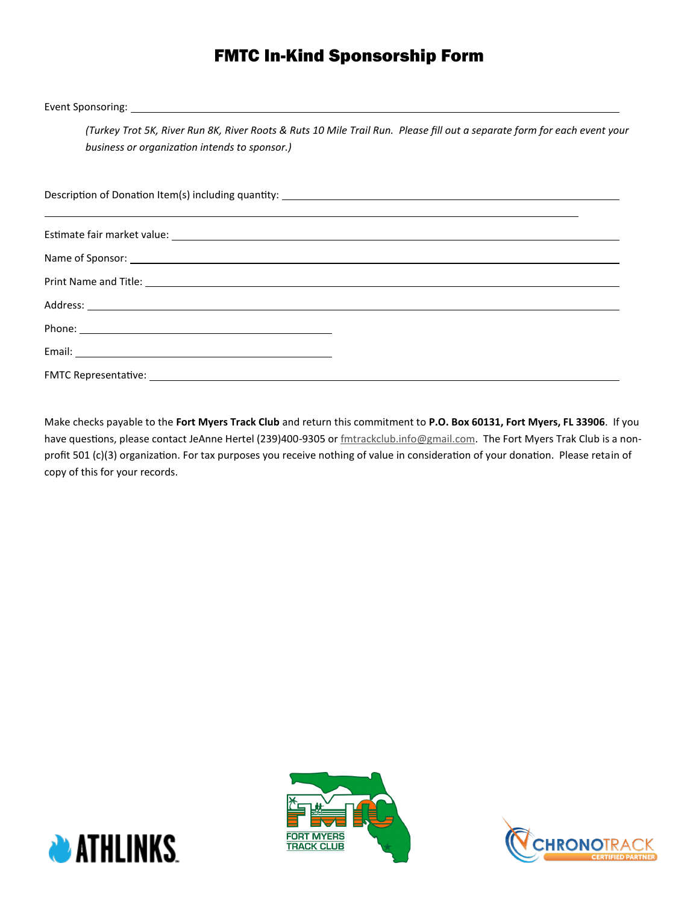# FMTC In-Kind Sponsorship Form

Event Sponsoring:

*(Turkey Trot 5K, River Run 8K, River Roots & Ruts 10 Mile Trail Run. Please fill out a separate form for each event your business or organization intends to sponsor.)*

Description of Donation Item(s) including quantity: Estimate fair market value: Name of Sponsor: Print Name and Title: Address: Phone: Email: FMTC Representative:

Make checks payable to the **Fort Myers Track Club** and return this commitment to **P.O. Box 60131, Fort Myers, FL 33906**. If you have questions, please contact JeAnne Hertel (239)400-9305 or [fmtrackclub.info@gmail.com.](mailto:fmtrackclub.info@gmail.com)The Fort Myers Trak Club is a nonprofit 501 (c)(3) organization. For tax purposes you receive nothing of value in consideration of your donation. Please retain of copy of this for your records.